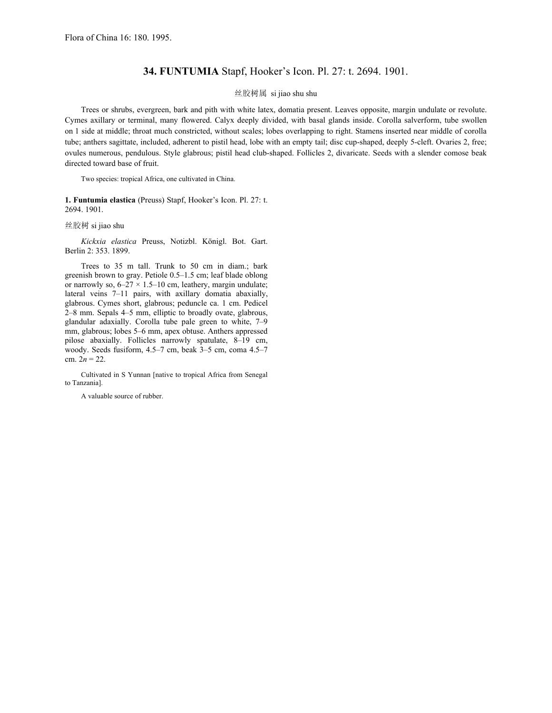## **34. FUNTUMIA** Stapf, Hooker's Icon. Pl. 27: t. 2694. 1901.

## 丝胶树属 si jiao shu shu

Trees or shrubs, evergreen, bark and pith with white latex, domatia present. Leaves opposite, margin undulate or revolute. Cymes axillary or terminal, many flowered. Calyx deeply divided, with basal glands inside. Corolla salverform, tube swollen on 1 side at middle; throat much constricted, without scales; lobes overlapping to right. Stamens inserted near middle of corolla tube; anthers sagittate, included, adherent to pistil head, lobe with an empty tail; disc cup-shaped, deeply 5-cleft. Ovaries 2, free; ovules numerous, pendulous. Style glabrous; pistil head club-shaped. Follicles 2, divaricate. Seeds with a slender comose beak directed toward base of fruit.

Two species: tropical Africa, one cultivated in China.

**1. Funtumia elastica** (Preuss) Stapf, Hooker's Icon. Pl. 27: t. 2694. 1901.

丝胶树 si jiao shu

*Kickxia elastica* Preuss, Notizbl. Königl. Bot. Gart. Berlin 2: 353. 1899.

Trees to 35 m tall. Trunk to 50 cm in diam.; bark greenish brown to gray. Petiole 0.5*–*1.5 cm; leaf blade oblong or narrowly so, 6*–*27 × 1.5*–*10 cm, leathery, margin undulate; lateral veins 7*–*11 pairs, with axillary domatia abaxially, glabrous. Cymes short, glabrous; peduncle ca. 1 cm. Pedicel 2*–*8 mm. Sepals 4*–*5 mm, elliptic to broadly ovate, glabrous, glandular adaxially. Corolla tube pale green to white, 7*–*9 mm, glabrous; lobes 5*–*6 mm, apex obtuse. Anthers appressed pilose abaxially. Follicles narrowly spatulate, 8*–*19 cm, woody. Seeds fusiform, 4.5*–*7 cm, beak 3*–*5 cm, coma 4.5*–*7 cm.  $2n = 22$ .

Cultivated in S Yunnan [native to tropical Africa from Senegal to Tanzania].

A valuable source of rubber.